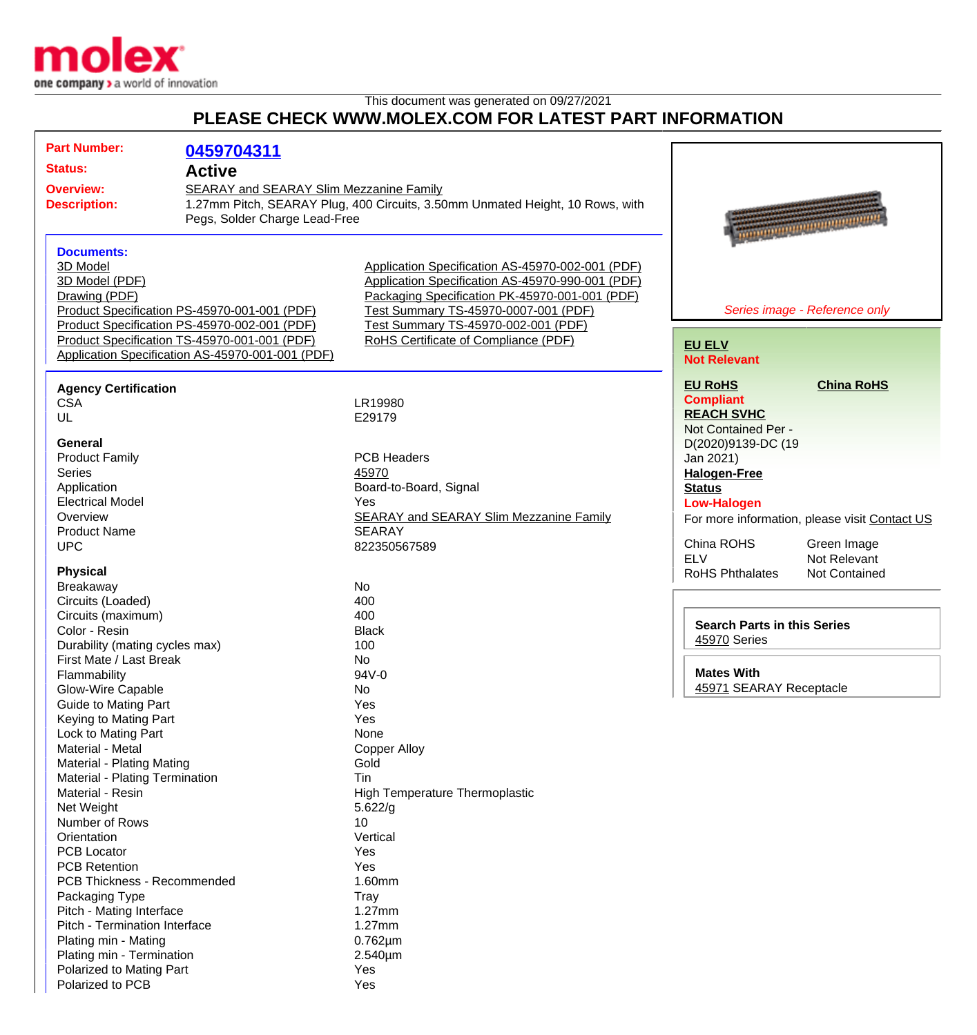

This document was generated on 09/27/2021

## **PLEASE CHECK WWW.MOLEX.COM FOR LATEST PART INFORMATION**

| <b>Part Number:</b>                              | 0459704311                                                                                                               |                                                  |                                    |                                                 |
|--------------------------------------------------|--------------------------------------------------------------------------------------------------------------------------|--------------------------------------------------|------------------------------------|-------------------------------------------------|
| <b>Status:</b>                                   | <b>Active</b>                                                                                                            |                                                  |                                    |                                                 |
| <b>Overview:</b>                                 |                                                                                                                          |                                                  |                                    |                                                 |
| <b>Description:</b>                              | SEARAY and SEARAY Slim Mezzanine Family<br>1.27mm Pitch, SEARAY Plug, 400 Circuits, 3.50mm Unmated Height, 10 Rows, with |                                                  |                                    |                                                 |
| Pegs, Solder Charge Lead-Free                    |                                                                                                                          |                                                  |                                    |                                                 |
|                                                  |                                                                                                                          |                                                  |                                    | <b>The Community Community of the Community</b> |
| <b>Documents:</b>                                |                                                                                                                          |                                                  |                                    |                                                 |
| 3D Model                                         |                                                                                                                          | Application Specification AS-45970-002-001 (PDF) |                                    |                                                 |
| 3D Model (PDF)                                   |                                                                                                                          | Application Specification AS-45970-990-001 (PDF) |                                    |                                                 |
| Drawing (PDF)                                    |                                                                                                                          | Packaging Specification PK-45970-001-001 (PDF)   |                                    |                                                 |
|                                                  | Product Specification PS-45970-001-001 (PDF)                                                                             | Test Summary TS-45970-0007-001 (PDF)             |                                    | Series image - Reference only                   |
|                                                  | Product Specification PS-45970-002-001 (PDF)                                                                             | Test Summary TS-45970-002-001 (PDF)              |                                    |                                                 |
|                                                  | Product Specification TS-45970-001-001 (PDF)                                                                             | RoHS Certificate of Compliance (PDF)             | <b>EU ELV</b>                      |                                                 |
| Application Specification AS-45970-001-001 (PDF) |                                                                                                                          |                                                  | <b>Not Relevant</b>                |                                                 |
|                                                  |                                                                                                                          |                                                  |                                    |                                                 |
| <b>Agency Certification</b>                      |                                                                                                                          |                                                  | <b>EU RoHS</b>                     | <b>China RoHS</b>                               |
| <b>CSA</b>                                       |                                                                                                                          | LR19980                                          | <b>Compliant</b>                   |                                                 |
| UL                                               |                                                                                                                          | E29179                                           | <b>REACH SVHC</b>                  |                                                 |
|                                                  |                                                                                                                          |                                                  | Not Contained Per -                |                                                 |
| General                                          |                                                                                                                          |                                                  | D(2020)9139-DC (19                 |                                                 |
| <b>Product Family</b>                            |                                                                                                                          | <b>PCB Headers</b>                               | Jan 2021)                          |                                                 |
| <b>Series</b>                                    |                                                                                                                          | 45970                                            | <b>Halogen-Free</b>                |                                                 |
| Application                                      |                                                                                                                          | Board-to-Board, Signal                           | <b>Status</b>                      |                                                 |
| <b>Electrical Model</b>                          |                                                                                                                          | Yes                                              | <b>Low-Halogen</b>                 |                                                 |
| Overview                                         |                                                                                                                          | <b>SEARAY and SEARAY Slim Mezzanine Family</b>   |                                    | For more information, please visit Contact US   |
| <b>Product Name</b>                              |                                                                                                                          | <b>SEARAY</b>                                    |                                    |                                                 |
| <b>UPC</b>                                       |                                                                                                                          | 822350567589                                     | China ROHS                         | Green Image                                     |
|                                                  |                                                                                                                          |                                                  | <b>ELV</b>                         | Not Relevant                                    |
| <b>Physical</b>                                  |                                                                                                                          |                                                  | <b>RoHS Phthalates</b>             | <b>Not Contained</b>                            |
| Breakaway                                        |                                                                                                                          | <b>No</b>                                        |                                    |                                                 |
| Circuits (Loaded)                                |                                                                                                                          | 400                                              |                                    |                                                 |
| Circuits (maximum)                               |                                                                                                                          | 400                                              | <b>Search Parts in this Series</b> |                                                 |
| Color - Resin<br>Durability (mating cycles max)  |                                                                                                                          | <b>Black</b><br>100                              | 45970 Series                       |                                                 |
| First Mate / Last Break                          |                                                                                                                          | <b>No</b>                                        |                                    |                                                 |
|                                                  |                                                                                                                          | 94V-0                                            | <b>Mates With</b>                  |                                                 |
| Flammability                                     |                                                                                                                          |                                                  | 45971 SEARAY Receptacle            |                                                 |
| Glow-Wire Capable<br><b>Guide to Mating Part</b> |                                                                                                                          | No.<br>Yes                                       |                                    |                                                 |
| Keying to Mating Part                            |                                                                                                                          | Yes                                              |                                    |                                                 |
| Lock to Mating Part                              |                                                                                                                          | None                                             |                                    |                                                 |
| <b>Material - Metal</b>                          |                                                                                                                          | <b>Copper Alloy</b>                              |                                    |                                                 |
| <b>Material - Plating Mating</b>                 |                                                                                                                          | Gold                                             |                                    |                                                 |
| Material - Plating Termination                   |                                                                                                                          | Tin                                              |                                    |                                                 |
| Material - Resin                                 |                                                                                                                          | <b>High Temperature Thermoplastic</b>            |                                    |                                                 |
| Net Weight                                       |                                                                                                                          | 5.622/g                                          |                                    |                                                 |
| Number of Rows                                   |                                                                                                                          | 10                                               |                                    |                                                 |
| Orientation                                      |                                                                                                                          | Vertical                                         |                                    |                                                 |
| <b>PCB Locator</b>                               |                                                                                                                          | Yes                                              |                                    |                                                 |
| <b>PCB Retention</b>                             |                                                                                                                          | Yes                                              |                                    |                                                 |
| PCB Thickness - Recommended                      |                                                                                                                          | 1.60mm                                           |                                    |                                                 |
| Packaging Type                                   |                                                                                                                          | Tray                                             |                                    |                                                 |
| Pitch - Mating Interface                         |                                                                                                                          | 1.27mm                                           |                                    |                                                 |
| Pitch - Termination Interface                    |                                                                                                                          | 1.27mm                                           |                                    |                                                 |
| Plating min - Mating                             |                                                                                                                          | $0.762 \mu m$                                    |                                    |                                                 |
| Plating min - Termination                        |                                                                                                                          | 2.540µm                                          |                                    |                                                 |
| Polarized to Mating Part                         |                                                                                                                          | Yes                                              |                                    |                                                 |
| Polarized to PCB                                 |                                                                                                                          | Yes                                              |                                    |                                                 |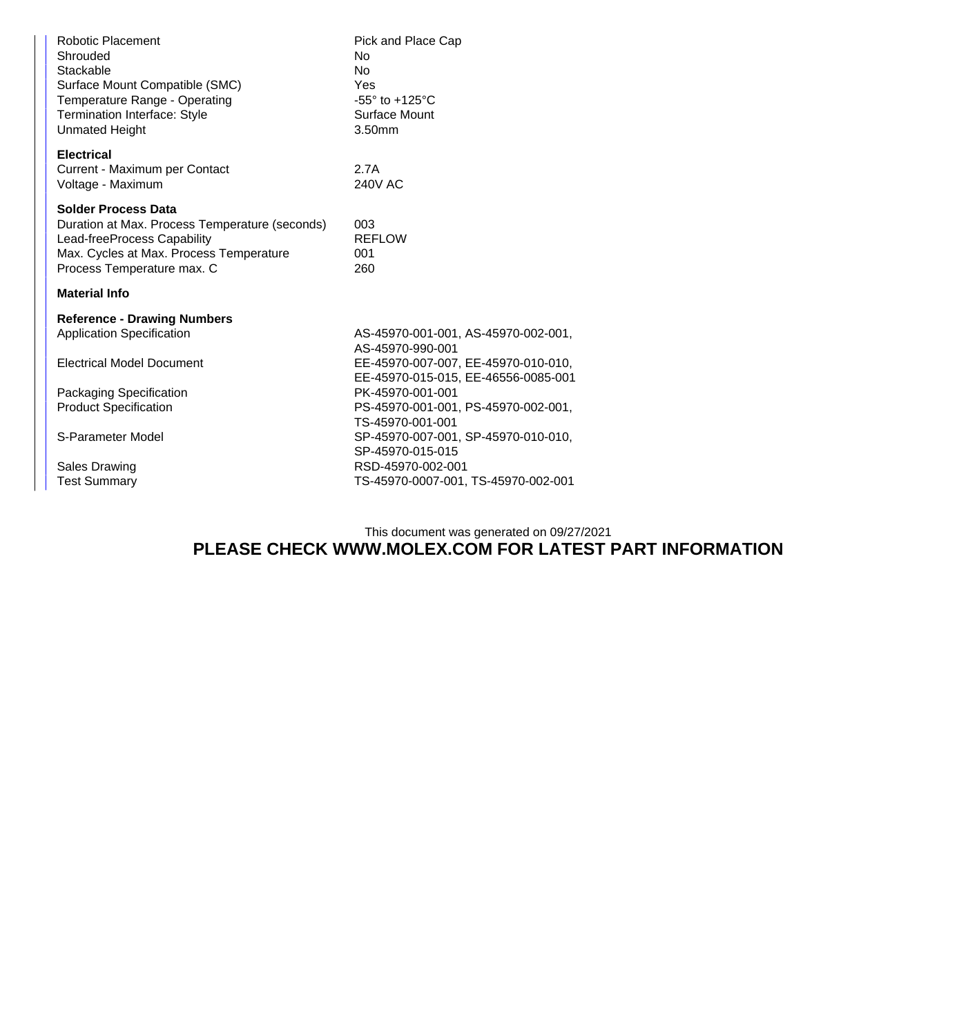| <b>Robotic Placement</b><br>Shrouded<br>Stackable<br>Surface Mount Compatible (SMC)<br>Temperature Range - Operating<br><b>Termination Interface: Style</b><br><b>Unmated Height</b> | Pick and Place Cap<br>No<br><b>No</b><br>Yes<br>$-55^\circ$ to $+125^\circ$ C<br>Surface Mount<br>3.50mm           |  |
|--------------------------------------------------------------------------------------------------------------------------------------------------------------------------------------|--------------------------------------------------------------------------------------------------------------------|--|
| <b>Electrical</b><br>Current - Maximum per Contact<br>Voltage - Maximum                                                                                                              | 2.7A<br><b>240V AC</b>                                                                                             |  |
| <b>Solder Process Data</b><br>Duration at Max. Process Temperature (seconds)<br>Lead-freeProcess Capability<br>Max. Cycles at Max. Process Temperature<br>Process Temperature max. C | 003<br><b>REFLOW</b><br>001<br>260                                                                                 |  |
| <b>Material Info</b>                                                                                                                                                                 |                                                                                                                    |  |
| <b>Reference - Drawing Numbers</b><br><b>Application Specification</b><br><b>Electrical Model Document</b>                                                                           | AS-45970-001-001, AS-45970-002-001,<br>AS-45970-990-001<br>EE-45970-007-007, EE-45970-010-010,                     |  |
| Packaging Specification<br><b>Product Specification</b>                                                                                                                              | EE-45970-015-015, EE-46556-0085-001<br>PK-45970-001-001<br>PS-45970-001-001, PS-45970-002-001,<br>TS-45970-001-001 |  |
| S-Parameter Model                                                                                                                                                                    | SP-45970-007-001, SP-45970-010-010,<br>SP-45970-015-015                                                            |  |
| <b>Sales Drawing</b><br><b>Test Summary</b>                                                                                                                                          | RSD-45970-002-001<br>TS-45970-0007-001, TS-45970-002-001                                                           |  |

## This document was generated on 09/27/2021 **PLEASE CHECK WWW.MOLEX.COM FOR LATEST PART INFORMATION**